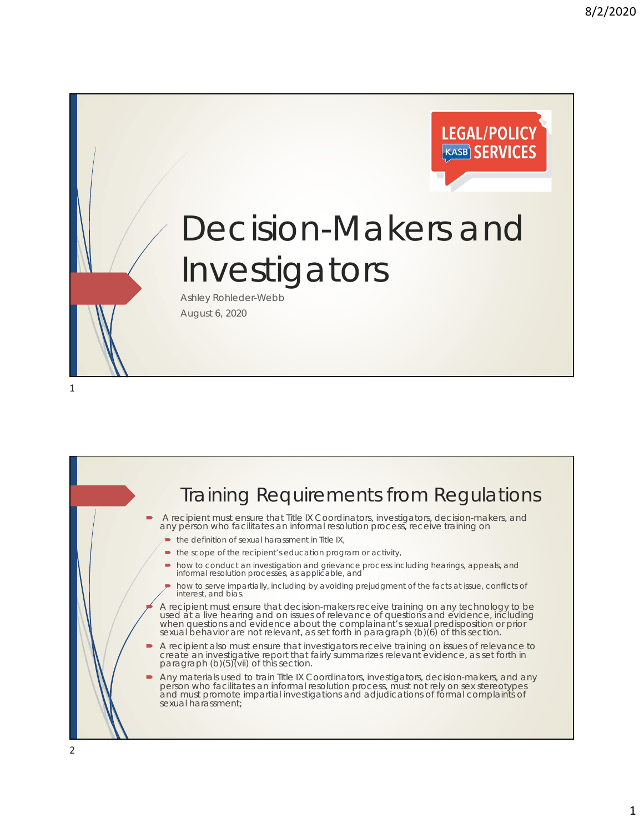

## Decision-Makers and Investigators

Ashley Rohleder-Webb August 6, 2020

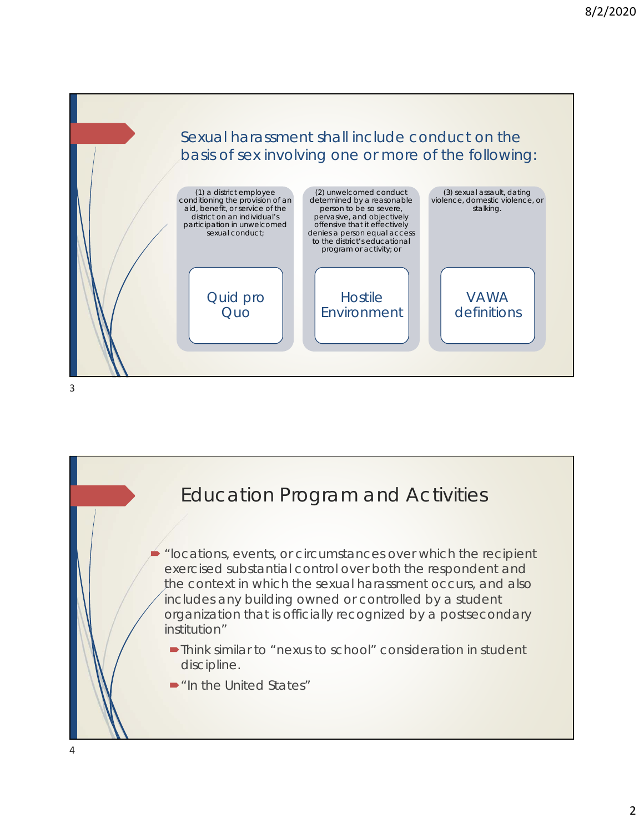

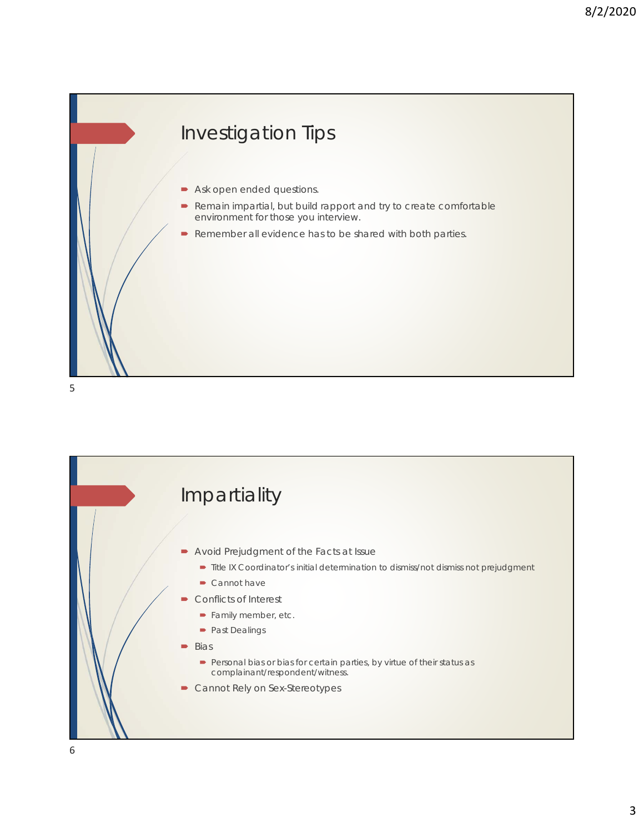## Investigation Tips

- **Ask open ended questions.**
- Remain impartial, but build rapport and try to create comfortable environment for those you interview.
- Remember all evidence has to be shared with both parties.

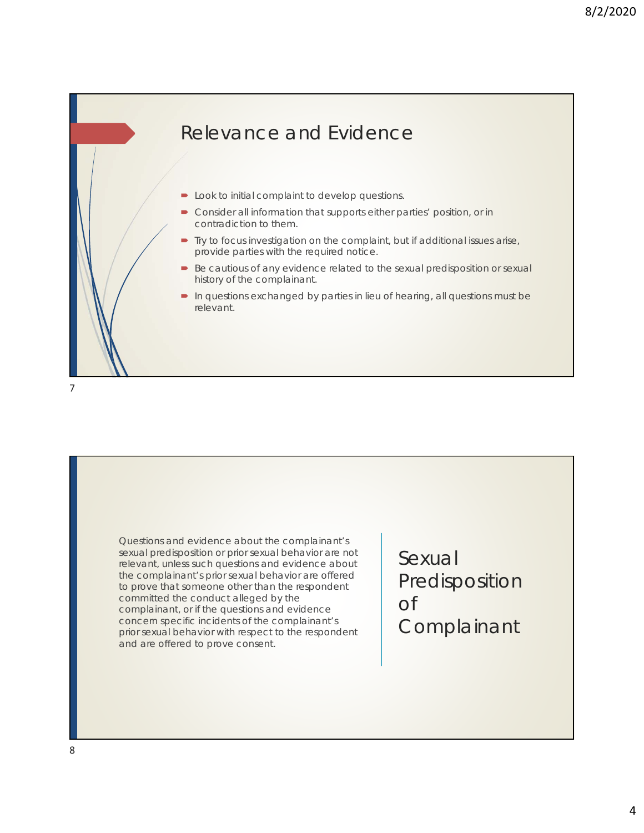

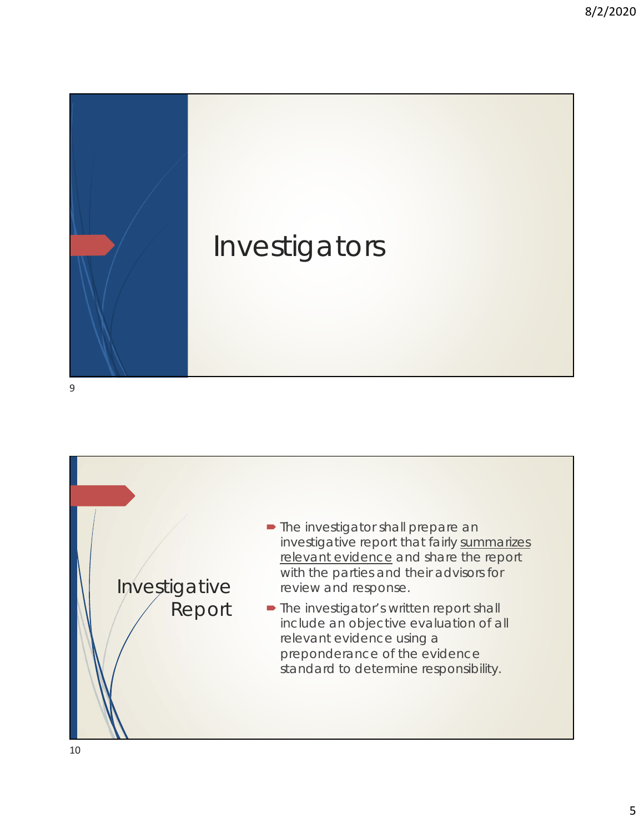



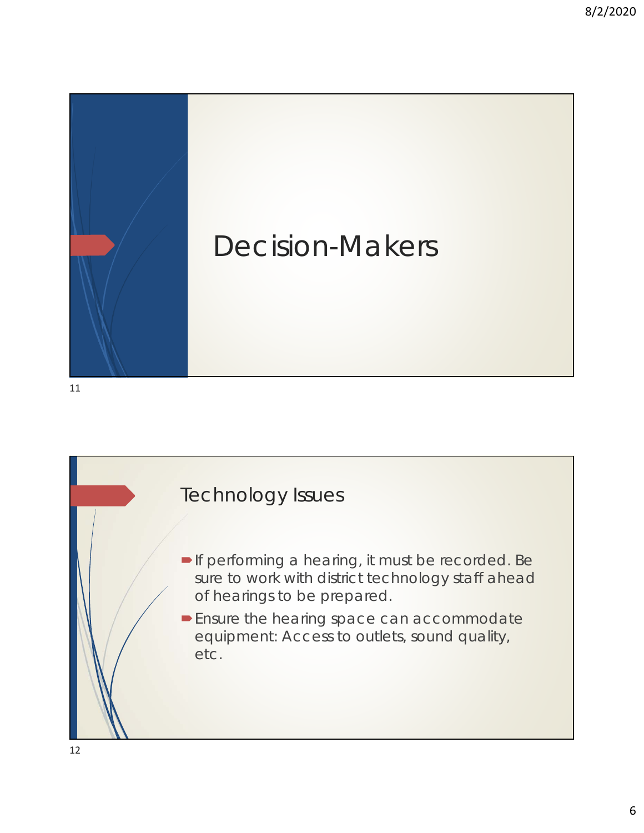